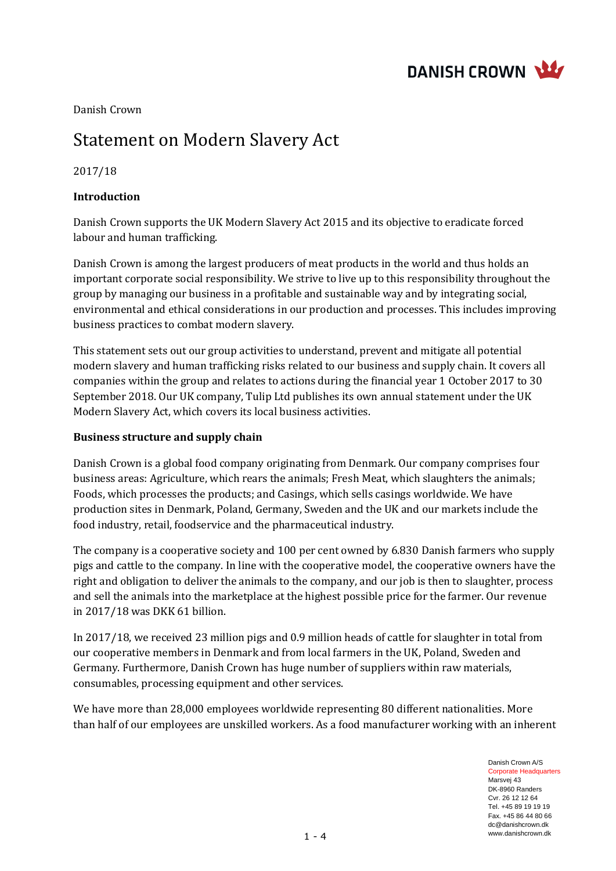

Danish Crown

# Statement on Modern Slavery Act

2017/18

#### **Introduction**

Danish Crown supports the UK Modern Slavery Act 2015 and its objective to eradicate forced labour and human trafficking.

Danish Crown is among the largest producers of meat products in the world and thus holds an important corporate social responsibility. We strive to live up to this responsibility throughout the group by managing our business in a profitable and sustainable way and by integrating social, environmental and ethical considerations in our production and processes. This includes improving business practices to combat modern slavery.

This statement sets out our group activities to understand, prevent and mitigate all potential modern slavery and human trafficking risks related to our business and supply chain. It covers all companies within the group and relates to actions during the financial year 1 October 2017 to 30 September 2018. Our UK company, Tulip Ltd publishes its own annual statement under the UK Modern Slavery Act, which covers its local business activities.

#### **Business structure and supply chain**

Danish Crown is a global food company originating from Denmark. Our company comprises four business areas: Agriculture, which rears the animals; Fresh Meat, which slaughters the animals; Foods, which processes the products; and Casings, which sells casings worldwide. We have production sites in Denmark, Poland, Germany, Sweden and the UK and our markets include the food industry, retail, foodservice and the pharmaceutical industry.

The company is a cooperative society and 100 per cent owned by 6.830 Danish farmers who supply pigs and cattle to the company. In line with the cooperative model, the cooperative owners have the right and obligation to deliver the animals to the company, and our job is then to slaughter, process and sell the animals into the marketplace at the highest possible price for the farmer. Our revenue in 2017/18 was DKK 61 billion.

In 2017/18, we received 23 million pigs and 0.9 million heads of cattle for slaughter in total from our cooperative members in Denmark and from local farmers in the UK, Poland, Sweden and Germany. Furthermore, Danish Crown has huge number of suppliers within raw materials, consumables, processing equipment and other services.

We have more than 28,000 employees worldwide representing 80 different nationalities. More than half of our employees are unskilled workers. As a food manufacturer working with an inherent

> Danish Crown A/S Corporate Headquarters Marsvej 43 DK-8960 Randers Cvr. 26 12 12 64 Tel. +45 89 19 19 19 Fax. +45 86 44 80 66 dc@danishcrown.dk 1 - 4 www.danishcrown.dk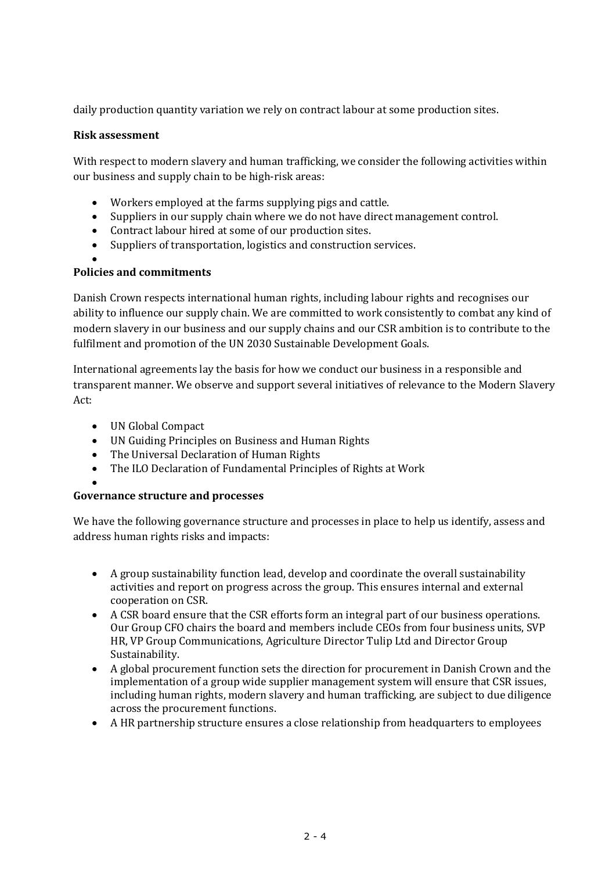daily production quantity variation we rely on contract labour at some production sites.

## **Risk assessment**

With respect to modern slavery and human trafficking, we consider the following activities within our business and supply chain to be high-risk areas:

- Workers employed at the farms supplying pigs and cattle.
- Suppliers in our supply chain where we do not have direct management control.
- Contract labour hired at some of our production sites.
- Suppliers of transportation, logistics and construction services.
- •

•

### **Policies and commitments**

Danish Crown respects international human rights, including labour rights and recognises our ability to influence our supply chain. We are committed to work consistently to combat any kind of modern slavery in our business and our supply chains and our CSR ambition is to contribute to the fulfilment and promotion of the UN 2030 Sustainable Development Goals.

International agreements lay the basis for how we conduct our business in a responsible and transparent manner. We observe and support several initiatives of relevance to the Modern Slavery Act:

- UN Global Compact
- UN Guiding Principles on Business and Human Rights
- The Universal Declaration of Human Rights
- The ILO Declaration of Fundamental Principles of Rights at Work

### **Governance structure and processes**

We have the following governance structure and processes in place to help us identify, assess and address human rights risks and impacts:

- A group sustainability function lead, develop and coordinate the overall sustainability activities and report on progress across the group. This ensures internal and external cooperation on CSR.
- A CSR board ensure that the CSR efforts form an integral part of our business operations. Our Group CFO chairs the board and members include CEOs from four business units, SVP HR, VP Group Communications, Agriculture Director Tulip Ltd and Director Group Sustainability.
- A global procurement function sets the direction for procurement in Danish Crown and the implementation of a group wide supplier management system will ensure that CSR issues, including human rights, modern slavery and human trafficking, are subject to due diligence across the procurement functions.
- A HR partnership structure ensures a close relationship from headquarters to employees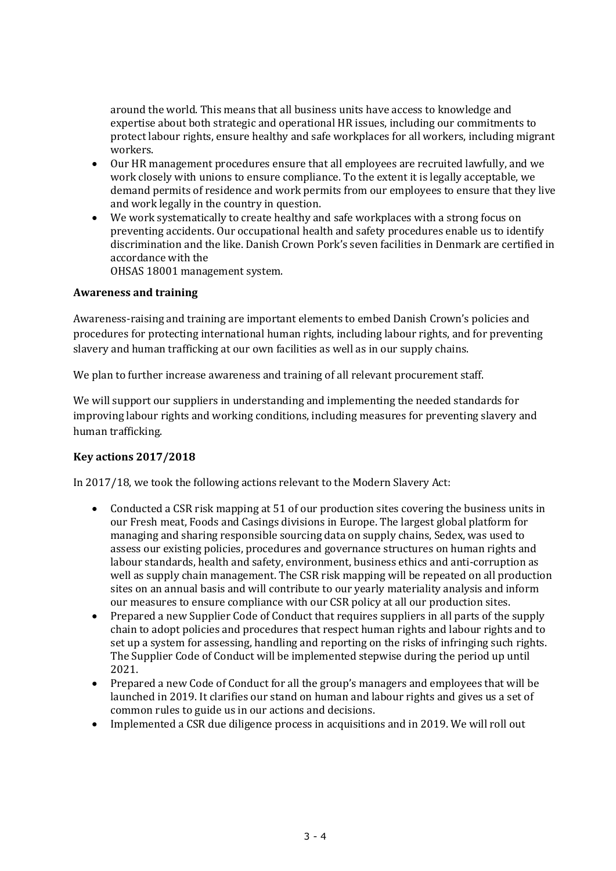around the world. This means that all business units have access to knowledge and expertise about both strategic and operational HR issues, including our commitments to protect labour rights, ensure healthy and safe workplaces for all workers, including migrant workers.

- Our HR management procedures ensure that all employees are recruited lawfully, and we work closely with unions to ensure compliance. To the extent it is legally acceptable, we demand permits of residence and work permits from our employees to ensure that they live and work legally in the country in question.
- We work systematically to create healthy and safe workplaces with a strong focus on preventing accidents. Our occupational health and safety procedures enable us to identify discrimination and the like. Danish Crown Pork's seven facilities in Denmark are certified in accordance with the

OHSAS 18001 management system.

#### **Awareness and training**

Awareness-raising and training are important elements to embed Danish Crown's policies and procedures for protecting international human rights, including labour rights, and for preventing slavery and human trafficking at our own facilities as well as in our supply chains.

We plan to further increase awareness and training of all relevant procurement staff.

We will support our suppliers in understanding and implementing the needed standards for improving labour rights and working conditions, including measures for preventing slavery and human trafficking.

### **Key actions 2017/2018**

In 2017/18, we took the following actions relevant to the Modern Slavery Act:

- Conducted a CSR risk mapping at 51 of our production sites covering the business units in our Fresh meat, Foods and Casings divisions in Europe. The largest global platform for managing and sharing responsible sourcing data on supply chains, Sedex, was used to assess our existing policies, procedures and governance structures on human rights and labour standards, health and safety, environment, business ethics and anti-corruption as well as supply chain management. The CSR risk mapping will be repeated on all production sites on an annual basis and will contribute to our yearly materiality analysis and inform our measures to ensure compliance with our CSR policy at all our production sites.
- Prepared a new Supplier Code of Conduct that requires suppliers in all parts of the supply chain to adopt policies and procedures that respect human rights and labour rights and to set up a system for assessing, handling and reporting on the risks of infringing such rights. The Supplier Code of Conduct will be implemented stepwise during the period up until 2021.
- Prepared a new Code of Conduct for all the group's managers and employees that will be launched in 2019. It clarifies our stand on human and labour rights and gives us a set of common rules to guide us in our actions and decisions.
- Implemented a CSR due diligence process in acquisitions and in 2019. We will roll out